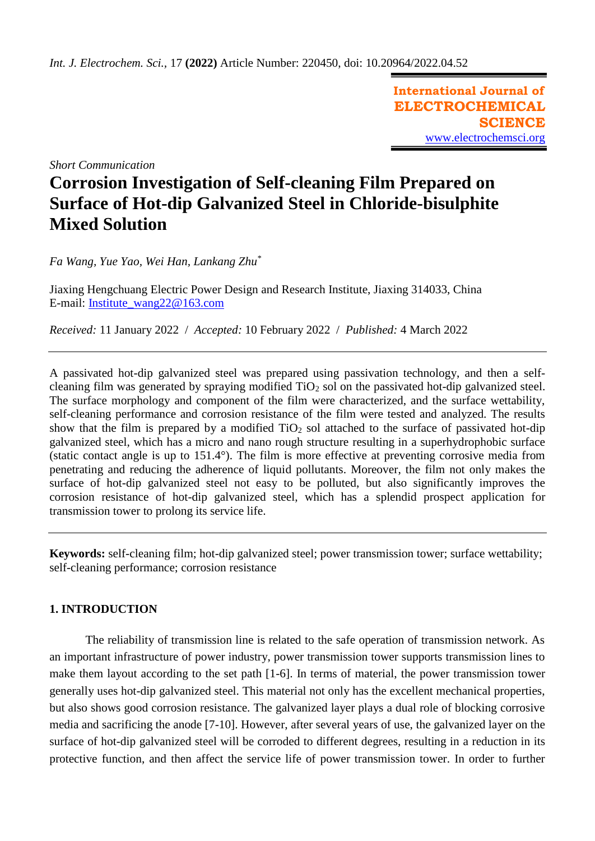**International Journal of ELECTROCHEMICAL SCIENCE** [www.electrochemsci.org](http://www.electrochemsci.org/)

*Short Communication*

# **Corrosion Investigation of Self-cleaning Film Prepared on Surface of Hot-dip Galvanized Steel in Chloride-bisulphite Mixed Solution**

*Fa Wang, Yue Yao, Wei Han, Lankang Zhu\**

Jiaxing Hengchuang Electric Power Design and Research Institute, Jiaxing 314033, China E-mail: [Institute\\_wang22@163.com](mailto:Institute_wang22@163.com)

*Received:* 11 January 2022/ *Accepted:* 10 February 2022 / *Published:* 4 March 2022

A passivated hot-dip galvanized steel was prepared using passivation technology, and then a selfcleaning film was generated by spraying modified  $TiO<sub>2</sub>$  sol on the passivated hot-dip galvanized steel. The surface morphology and component of the film were characterized, and the surface wettability, self-cleaning performance and corrosion resistance of the film were tested and analyzed. The results show that the film is prepared by a modified  $TiO<sub>2</sub>$  sol attached to the surface of passivated hot-dip galvanized steel, which has a micro and nano rough structure resulting in a superhydrophobic surface (static contact angle is up to 151.4°). The film is more effective at preventing corrosive media from penetrating and reducing the adherence of liquid pollutants. Moreover, the film not only makes the surface of hot-dip galvanized steel not easy to be polluted, but also significantly improves the corrosion resistance of hot-dip galvanized steel, which has a splendid prospect application for transmission tower to prolong its service life.

**Keywords:** self-cleaning film; hot-dip galvanized steel; power transmission tower; surface wettability; self-cleaning performance; corrosion resistance

## **1. INTRODUCTION**

The reliability of transmission line is related to the safe operation of transmission network. As an important infrastructure of power industry, power transmission tower supports transmission lines to make them layout according to the set path [1-6]. In terms of material, the power transmission tower generally uses hot-dip galvanized steel. This material not only has the excellent mechanical properties, but also shows good corrosion resistance. The galvanized layer plays a dual role of blocking corrosive media and sacrificing the anode [7-10]. However, after several years of use, the galvanized layer on the surface of hot-dip galvanized steel will be corroded to different degrees, resulting in a reduction in its protective function, and then affect the service life of power transmission tower. In order to further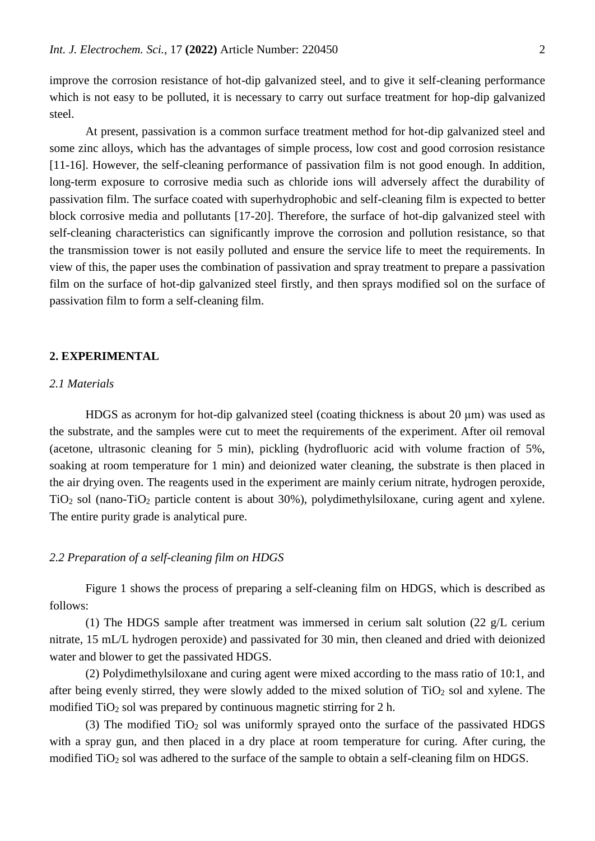improve the corrosion resistance of hot-dip galvanized steel, and to give it self-cleaning performance which is not easy to be polluted, it is necessary to carry out surface treatment for hop-dip galvanized steel.

At present, passivation is a common surface treatment method for hot-dip galvanized steel and some zinc alloys, which has the advantages of simple process, low cost and good corrosion resistance [11-16]. However, the self-cleaning performance of passivation film is not good enough. In addition, long-term exposure to corrosive media such as chloride ions will adversely affect the durability of passivation film. The surface coated with superhydrophobic and self-cleaning film is expected to better block corrosive media and pollutants [17-20]. Therefore, the surface of hot-dip galvanized steel with self-cleaning characteristics can significantly improve the corrosion and pollution resistance, so that the transmission tower is not easily polluted and ensure the service life to meet the requirements. In view of this, the paper uses the combination of passivation and spray treatment to prepare a passivation film on the surface of hot-dip galvanized steel firstly, and then sprays modified sol on the surface of passivation film to form a self-cleaning film.

## **2. EXPERIMENTAL**

## *2.1 Materials*

HDGS as acronym for hot-dip galvanized steel (coating thickness is about  $20 \mu m$ ) was used as the substrate, and the samples were cut to meet the requirements of the experiment. After oil removal (acetone, ultrasonic cleaning for 5 min), pickling (hydrofluoric acid with volume fraction of 5%, soaking at room temperature for 1 min) and deionized water cleaning, the substrate is then placed in the air drying oven. The reagents used in the experiment are mainly cerium nitrate, hydrogen peroxide, TiO<sup>2</sup> sol (nano-TiO<sup>2</sup> particle content is about 30%), polydimethylsiloxane, curing agent and xylene. The entire purity grade is analytical pure.

## *2.2 Preparation of a self-cleaning film on HDGS*

Figure 1 shows the process of preparing a self-cleaning film on HDGS, which is described as follows:

(1) The HDGS sample after treatment was immersed in cerium salt solution (22  $g/L$  cerium nitrate, 15 mL/L hydrogen peroxide) and passivated for 30 min, then cleaned and dried with deionized water and blower to get the passivated HDGS.

(2) Polydimethylsiloxane and curing agent were mixed according to the mass ratio of 10:1, and after being evenly stirred, they were slowly added to the mixed solution of  $TiO<sub>2</sub>$  sol and xylene. The modified  $TiO<sub>2</sub>$  sol was prepared by continuous magnetic stirring for 2 h.

(3) The modified  $TiO<sub>2</sub>$  sol was uniformly sprayed onto the surface of the passivated HDGS with a spray gun, and then placed in a dry place at room temperature for curing. After curing, the modified TiO<sub>2</sub> sol was adhered to the surface of the sample to obtain a self-cleaning film on HDGS.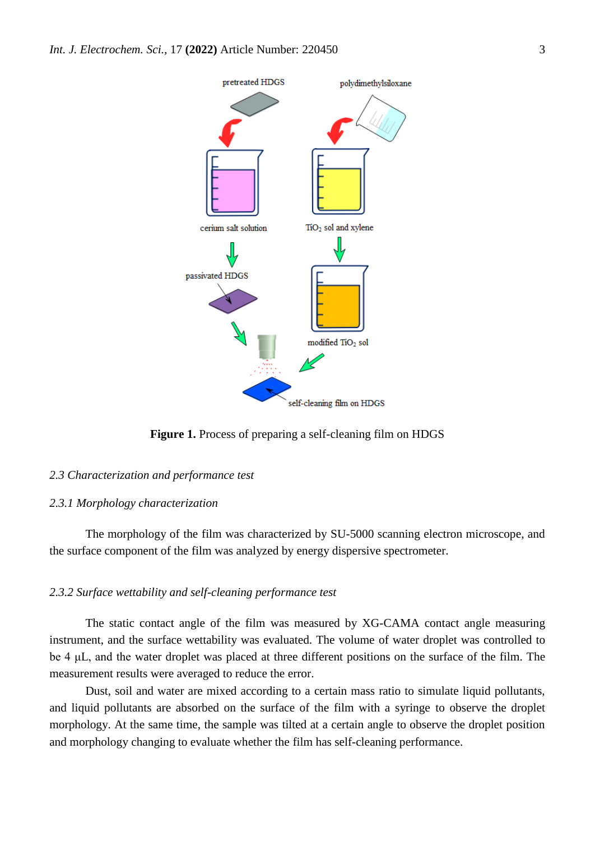

**Figure 1.** Process of preparing a self-cleaning film on HDGS

## *2.3 Characterization and performance test*

#### *2.3.1 Morphology characterization*

The morphology of the film was characterized by SU-5000 scanning electron microscope, and the surface component of the film was analyzed by energy dispersive spectrometer.

## *2.3.2 Surface wettability and self-cleaning performance test*

The static contact angle of the film was measured by XG-CAMA contact angle measuring instrument, and the surface wettability was evaluated. The volume of water droplet was controlled to be 4 μL, and the water droplet was placed at three different positions on the surface of the film. The measurement results were averaged to reduce the error.

Dust, soil and water are mixed according to a certain mass ratio to simulate liquid pollutants, and liquid pollutants are absorbed on the surface of the film with a syringe to observe the droplet morphology. At the same time, the sample was tilted at a certain angle to observe the droplet position and morphology changing to evaluate whether the film has self-cleaning performance.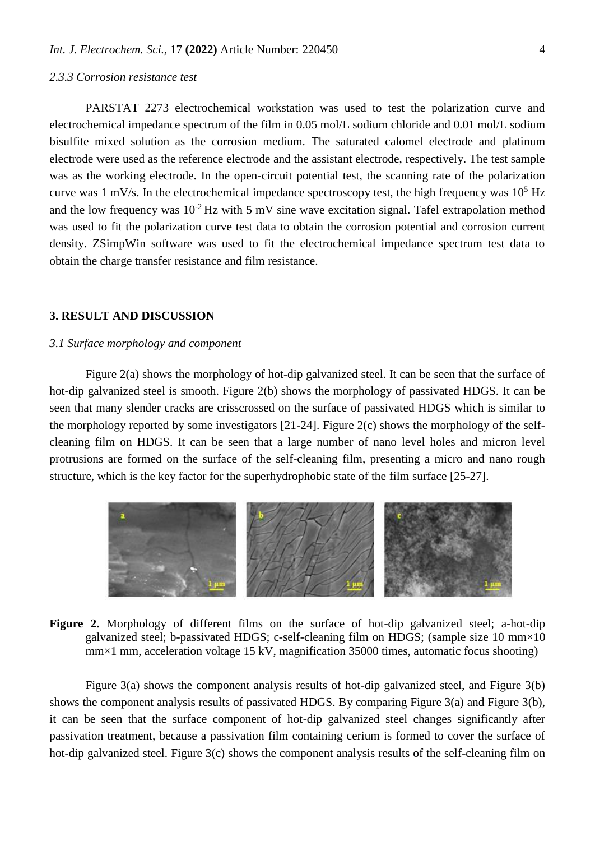## *2.3.3 Corrosion resistance test*

bisulfite mixed solution as the corrosion medium. The saturated calomel electrode and platinum electrode were used as the reference electrode and the assistant electrode, respectively. The test sample was as the working electrode. In the open-circuit potential test, the scanning rate of the polarization curve was 1 mV/s. In the electrochemical impedance spectroscopy test, the high frequency was  $10^5$  Hz and the low frequency was  $10^{-2}$  Hz with 5 mV sine wave excitation signal. Tafel extrapolation method was used to fit the polarization curve test data to obtain the corrosion potential and corrosion current density. ZSimpWin software was used to fit the electrochemical impedance spectrum test data to obtain the charge transfer resistance and film resistance.

## **3. RESULT AND DISCUSSION**

## *3.1 Surface morphology and component*

Figure 2(a) shows the morphology of hot-dip galvanized steel. It can be seen that the surface of hot-dip galvanized steel is smooth. Figure 2(b) shows the morphology of passivated HDGS. It can be seen that many slender cracks are crisscrossed on the surface of passivated HDGS which is similar to the morphology reported by some investigators [21-24]. Figure 2(c) shows the morphology of the selfcleaning film on HDGS. It can be seen that a large number of nano level holes and micron level protrusions are formed on the surface of the self-cleaning film, presenting a micro and nano rough structure, which is the key factor for the superhydrophobic state of the film surface [25-27].



# **Figure 2.** Morphology of different films on the surface of hot-dip galvanized steel; a-hot-dip galvanized steel; b-passivated HDGS; c-self-cleaning film on HDGS; (sample size 10 mm×10 mm×1 mm, acceleration voltage 15 kV, magnification 35000 times, automatic focus shooting)

Figure 3(a) shows the component analysis results of hot-dip galvanized steel, and Figure 3(b) shows the component analysis results of passivated HDGS. By comparing Figure 3(a) and Figure 3(b), it can be seen that the surface component of hot-dip galvanized steel changes significantly after passivation treatment, because a passivation film containing cerium is formed to cover the surface of hot-dip galvanized steel. Figure 3(c) shows the component analysis results of the self-cleaning film on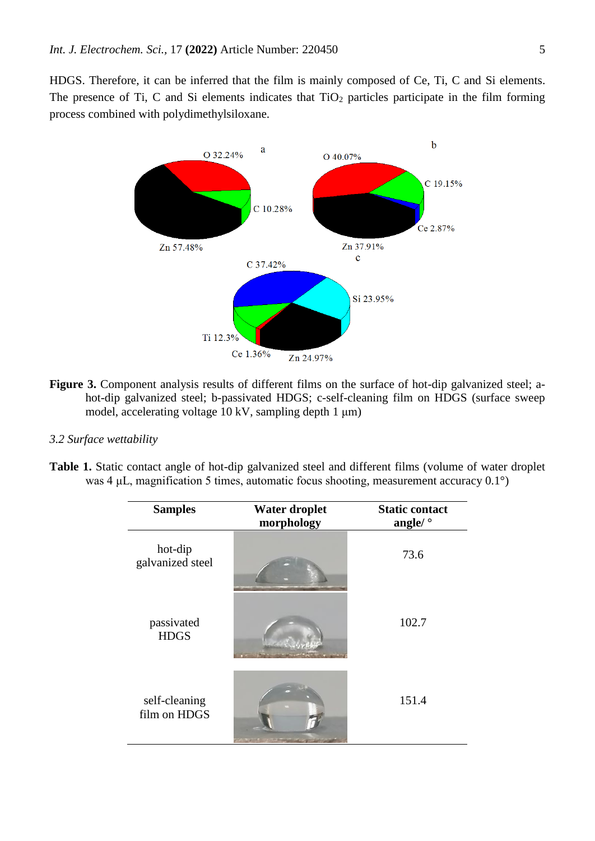HDGS. Therefore, it can be inferred that the film is mainly composed of Ce, Ti, C and Si elements. The presence of Ti, C and Si elements indicates that  $TiO<sub>2</sub>$  particles participate in the film forming process combined with polydimethylsiloxane.



**Figure 3.** Component analysis results of different films on the surface of hot-dip galvanized steel; ahot-dip galvanized steel; b-passivated HDGS; c-self-cleaning film on HDGS (surface sweep model, accelerating voltage 10 kV, sampling depth 1 μm)

## *3.2 Surface wettability*

**Table 1.** Static contact angle of hot-dip galvanized steel and different films (volume of water droplet was 4 μL, magnification 5 times, automatic focus shooting, measurement accuracy 0.1°)

| <b>Samples</b>                | Water droplet<br>morphology | <b>Static contact</b><br>angle/ $^{\circ}$ |
|-------------------------------|-----------------------------|--------------------------------------------|
| hot-dip<br>galvanized steel   |                             | 73.6                                       |
| passivated<br><b>HDGS</b>     |                             | 102.7                                      |
| self-cleaning<br>film on HDGS |                             | 151.4                                      |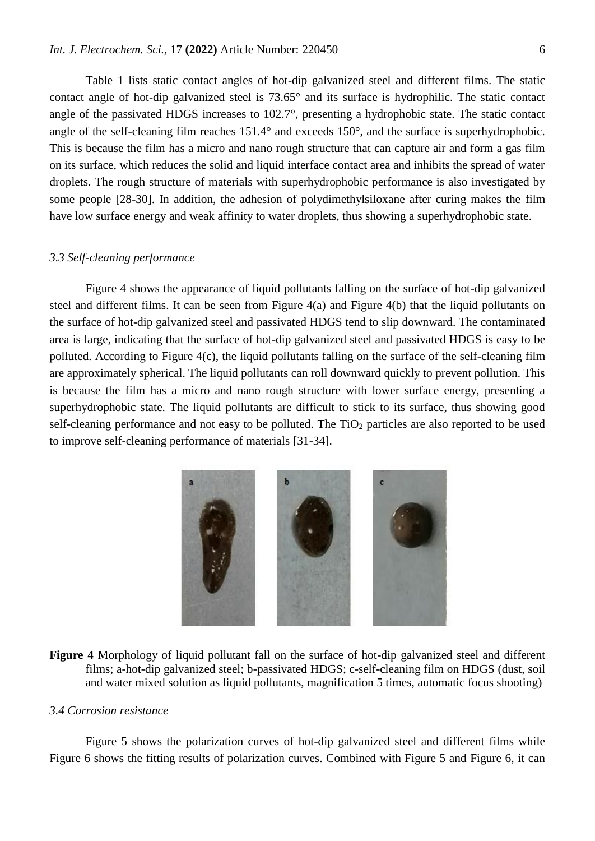Table 1 lists static contact angles of hot-dip galvanized steel and different films. The static contact angle of hot-dip galvanized steel is 73.65° and its surface is hydrophilic. The static contact angle of the passivated HDGS increases to 102.7°, presenting a hydrophobic state. The static contact angle of the self-cleaning film reaches 151.4° and exceeds 150°, and the surface is superhydrophobic. This is because the film has a micro and nano rough structure that can capture air and form a gas film on its surface, which reduces the solid and liquid interface contact area and inhibits the spread of water droplets. The rough structure of materials with superhydrophobic performance is also investigated by some people [28-30]. In addition, the adhesion of polydimethylsiloxane after curing makes the film have low surface energy and weak affinity to water droplets, thus showing a superhydrophobic state.

## *3.3 Self-cleaning performance*

Figure 4 shows the appearance of liquid pollutants falling on the surface of hot-dip galvanized steel and different films. It can be seen from Figure  $4(a)$  and Figure  $4(b)$  that the liquid pollutants on the surface of hot-dip galvanized steel and passivated HDGS tend to slip downward. The contaminated area is large, indicating that the surface of hot-dip galvanized steel and passivated HDGS is easy to be polluted. According to Figure 4(c), the liquid pollutants falling on the surface of the self-cleaning film are approximately spherical. The liquid pollutants can roll downward quickly to prevent pollution. This is because the film has a micro and nano rough structure with lower surface energy, presenting a superhydrophobic state. The liquid pollutants are difficult to stick to its surface, thus showing good self-cleaning performance and not easy to be polluted. The TiO<sub>2</sub> particles are also reported to be used to improve self-cleaning performance of materials [31-34].



**Figure 4** Morphology of liquid pollutant fall on the surface of hot-dip galvanized steel and different films; a-hot-dip galvanized steel; b-passivated HDGS; c-self-cleaning film on HDGS (dust, soil and water mixed solution as liquid pollutants, magnification 5 times, automatic focus shooting)

## *3.4 Corrosion resistance*

Figure 5 shows the polarization curves of hot-dip galvanized steel and different films while Figure 6 shows the fitting results of polarization curves. Combined with Figure 5 and Figure 6, it can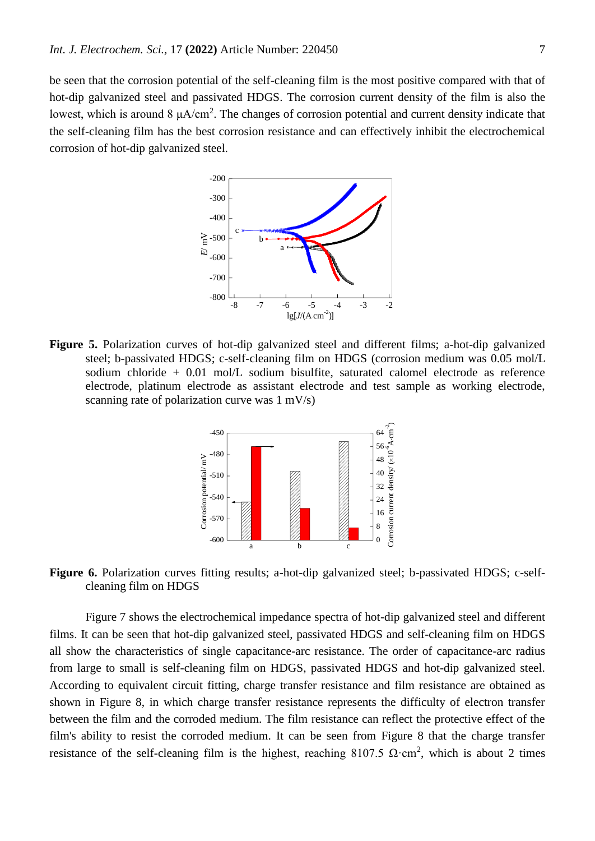be seen that the corrosion potential of the self-cleaning film is the most positive compared with that of hot-dip galvanized steel and passivated HDGS. The corrosion current density of the film is also the lowest, which is around  $8 \mu A/cm^2$ . The changes of corrosion potential and current density indicate that the self-cleaning film has the best corrosion resistance and can effectively inhibit the electrochemical corrosion of hot-dip galvanized steel.



**Figure 5.** Polarization curves of hot-dip galvanized steel and different films; a-hot-dip galvanized steel; b-passivated HDGS; c-self-cleaning film on HDGS (corrosion medium was 0.05 mol/L sodium chloride + 0.01 mol/L sodium bisulfite, saturated calomel electrode as reference electrode, platinum electrode as assistant electrode and test sample as working electrode, scanning rate of polarization curve was 1 mV/s)



**Figure 6.** Polarization curves fitting results; a-hot-dip galvanized steel; b-passivated HDGS; c-selfcleaning film on HDGS

Figure 7 shows the electrochemical impedance spectra of hot-dip galvanized steel and different films. It can be seen that hot-dip galvanized steel, passivated HDGS and self-cleaning film on HDGS all show the characteristics of single capacitance-arc resistance. The order of capacitance-arc radius from large to small is self-cleaning film on HDGS, passivated HDGS and hot-dip galvanized steel. According to equivalent circuit fitting, charge transfer resistance and film resistance are obtained as shown in Figure 8, in which charge transfer resistance represents the difficulty of electron transfer between the film and the corroded medium. The film resistance can reflect the protective effect of the film's ability to resist the corroded medium. It can be seen from Figure 8 that the charge transfer resistance of the self-cleaning film is the highest, reaching 8107.5  $\Omega$ ·cm<sup>2</sup>, which is about 2 times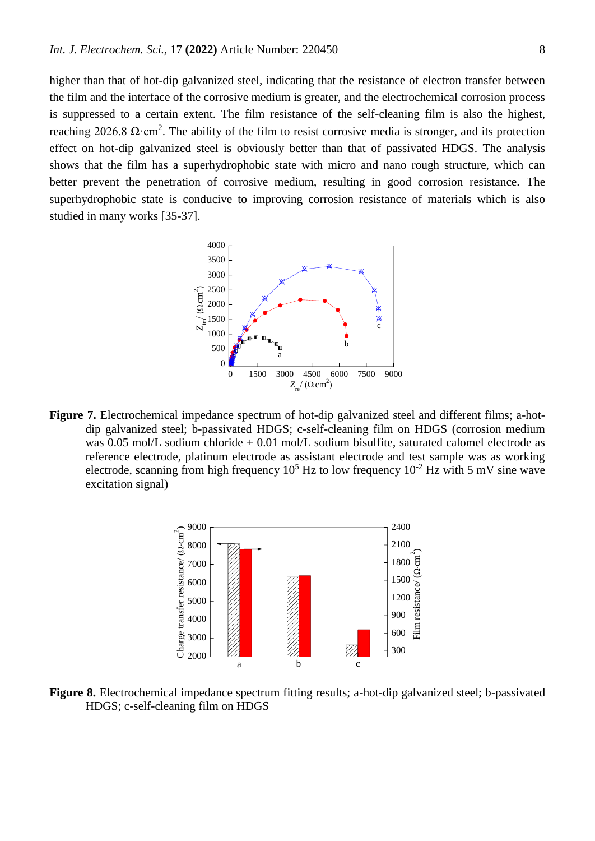higher than that of hot-dip galvanized steel, indicating that the resistance of electron transfer between the film and the interface of the corrosive medium is greater, and the electrochemical corrosion process is suppressed to a certain extent. The film resistance of the self-cleaning film is also the highest, reaching 2026.8  $\Omega$ ·cm<sup>2</sup>. The ability of the film to resist corrosive media is stronger, and its protection effect on hot-dip galvanized steel is obviously better than that of passivated HDGS. The analysis shows that the film has a superhydrophobic state with micro and nano rough structure, which can better prevent the penetration of corrosive medium, resulting in good corrosion resistance. The superhydrophobic state is conducive to improving corrosion resistance of materials which is also studied in many works [35-37].



**Figure 7.** Electrochemical impedance spectrum of hot-dip galvanized steel and different films; a-hotdip galvanized steel; b-passivated HDGS; c-self-cleaning film on HDGS (corrosion medium was 0.05 mol/L sodium chloride  $+$  0.01 mol/L sodium bisulfite, saturated calomel electrode as reference electrode, platinum electrode as assistant electrode and test sample was as working electrode, scanning from high frequency  $10^5$  Hz to low frequency  $10^{-2}$  Hz with 5 mV sine wave excitation signal)



**Figure 8.** Electrochemical impedance spectrum fitting results; a-hot-dip galvanized steel; b-passivated HDGS; c-self-cleaning film on HDGS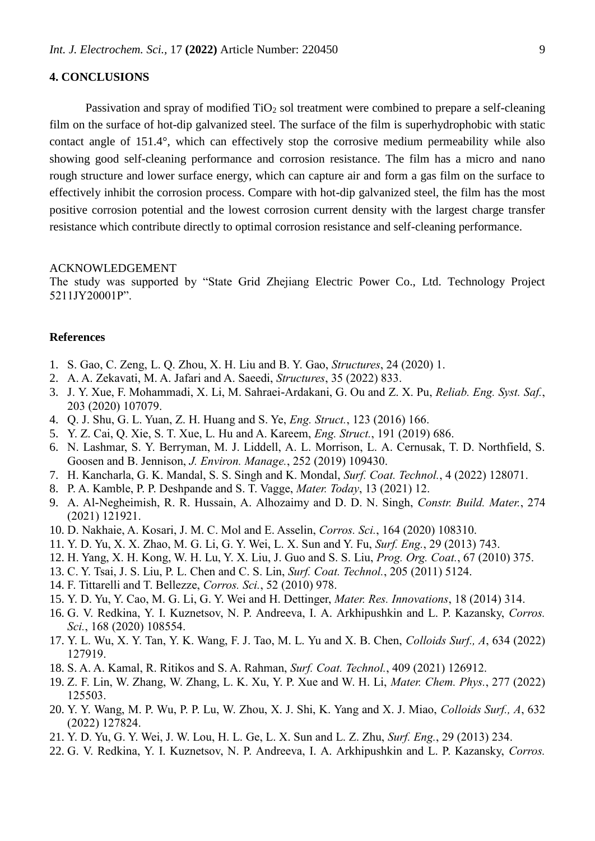# **4. CONCLUSIONS**

Passivation and spray of modified  $TiO<sub>2</sub>$  sol treatment were combined to prepare a self-cleaning film on the surface of hot-dip galvanized steel. The surface of the film is superhydrophobic with static contact angle of 151.4°, which can effectively stop the corrosive medium permeability while also showing good self-cleaning performance and corrosion resistance. The film has a micro and nano rough structure and lower surface energy, which can capture air and form a gas film on the surface to effectively inhibit the corrosion process. Compare with hot-dip galvanized steel, the film has the most positive corrosion potential and the lowest corrosion current density with the largest charge transfer resistance which contribute directly to optimal corrosion resistance and self-cleaning performance.

## ACKNOWLEDGEMENT

The study was supported by "State Grid Zhejiang Electric Power Co., Ltd. Technology Project 5211JY20001P".

## **References**

- 1. S. Gao, C. Zeng, L. Q. Zhou, X. H. Liu and B. Y. Gao, *Structures*, 24 (2020) 1.
- 2. A. A. Zekavati, M. A. Jafari and A. Saeedi, *Structures*, 35 (2022) 833.
- 3. J. Y. Xue, F. Mohammadi, X. Li, M. Sahraei-Ardakani, G. Ou and Z. X. Pu, *Reliab. Eng. Syst. Saf.*, 203 (2020) 107079.
- 4. Q. J. Shu, G. L. Yuan, Z. H. Huang and S. Ye, *Eng. Struct.*, 123 (2016) 166.
- 5. Y. Z. Cai, Q. Xie, S. T. Xue, L. Hu and A. Kareem, *Eng. Struct.*, 191 (2019) 686.
- 6. N. Lashmar, S. Y. Berryman, M. J. Liddell, A. L. Morrison, L. A. Cernusak, T. D. Northfield, S. Goosen and B. Jennison, *J. Environ. Manage.*, 252 (2019) 109430.
- 7. H. Kancharla, G. K. Mandal, S. S. Singh and K. Mondal, *Surf. Coat. Technol.*, 4 (2022) 128071.
- 8. P. A. Kamble, P. P. Deshpande and S. T. Vagge, *Mater. Today*, 13 (2021) 12.
- 9. A. Al-Negheimish, R. R. Hussain, A. Alhozaimy and D. D. N. Singh, *Constr. Build. Mater.*, 274 (2021) 121921.
- 10. D. Nakhaie, A. Kosari, J. M. C. Mol and E. Asselin, *Corros. Sci.*, 164 (2020) 108310.
- 11. Y. D. Yu, X. X. Zhao, M. G. Li, G. Y. Wei, L. X. Sun and Y. Fu, *Surf. Eng.*, 29 (2013) 743.
- 12. H. Yang, X. H. Kong, W. H. Lu, Y. X. Liu, J. Guo and S. S. Liu, *Prog. Org. Coat.*, 67 (2010) 375.
- 13. C. Y. Tsai, J. S. Liu, P. L. Chen and C. S. Lin, *Surf. Coat. Technol.*, 205 (2011) 5124.
- 14. F. Tittarelli and T. Bellezze, *Corros. Sci.*, 52 (2010) 978.
- 15. Y. D. Yu, Y. Cao, M. G. Li, G. Y. Wei and H. Dettinger, *Mater. Res. Innovations*, 18 (2014) 314.
- 16. G. V. Redkina, Y. I. Kuznetsov, N. P. Andreeva, I. A. Arkhipushkin and L. P. Kazansky, *Corros. Sci.*, 168 (2020) 108554.
- 17. Y. L. Wu, X. Y. Tan, Y. K. Wang, F. J. Tao, M. L. Yu and X. B. Chen, *Colloids Surf., A*, 634 (2022) 127919.
- 18. S. A. A. Kamal, R. Ritikos and S. A. Rahman, *Surf. Coat. Technol.*, 409 (2021) 126912.
- 19. Z. F. Lin, W. Zhang, W. Zhang, L. K. Xu, Y. P. Xue and W. H. Li, *Mater. Chem. Phys.*, 277 (2022) 125503.
- 20. Y. Y. Wang, M. P. Wu, P. P. Lu, W. Zhou, X. J. Shi, K. Yang and X. J. Miao, *Colloids Surf., A*, 632 (2022) 127824.
- 21. Y. D. Yu, G. Y. Wei, J. W. Lou, H. L. Ge, L. X. Sun and L. Z. Zhu, *Surf. Eng.*, 29 (2013) 234.
- 22. G. V. Redkina, Y. I. Kuznetsov, N. P. Andreeva, I. A. Arkhipushkin and L. P. Kazansky, *Corros.*